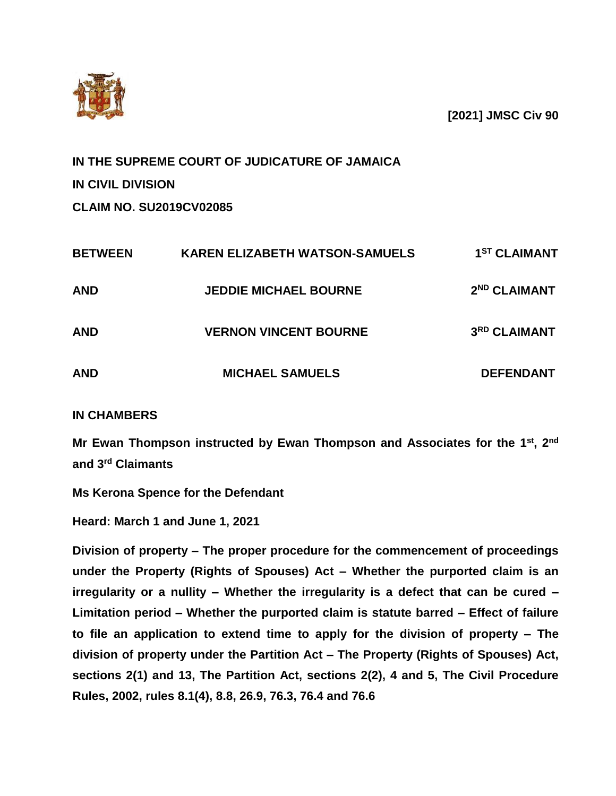

**[2021] JMSC Civ 90**

**IN THE SUPREME COURT OF JUDICATURE OF JAMAICA IN CIVIL DIVISION**

**CLAIM NO. SU2019CV02085**

| <b>BETWEEN</b> | <b>KAREN ELIZABETH WATSON-SAMUELS</b> | 1 <sup>ST</sup> CLAIMANT |
|----------------|---------------------------------------|--------------------------|
| <b>AND</b>     | <b>JEDDIE MICHAEL BOURNE</b>          | 2 <sup>ND</sup> CLAIMANT |
| <b>AND</b>     | <b>VERNON VINCENT BOURNE</b>          | 3RD CLAIMANT             |
| <b>AND</b>     | <b>MICHAEL SAMUELS</b>                | <b>DEFENDANT</b>         |

## **IN CHAMBERS**

**Mr Ewan Thompson instructed by Ewan Thompson and Associates for the 1 st, 2nd and 3rd Claimants**

**Ms Kerona Spence for the Defendant**

**Heard: March 1 and June 1, 2021**

**Division of property – The proper procedure for the commencement of proceedings under the Property (Rights of Spouses) Act – Whether the purported claim is an irregularity or a nullity – Whether the irregularity is a defect that can be cured – Limitation period – Whether the purported claim is statute barred – Effect of failure to file an application to extend time to apply for the division of property – The division of property under the Partition Act – The Property (Rights of Spouses) Act, sections 2(1) and 13, The Partition Act, sections 2(2), 4 and 5, The Civil Procedure Rules, 2002, rules 8.1(4), 8.8, 26.9, 76.3, 76.4 and 76.6**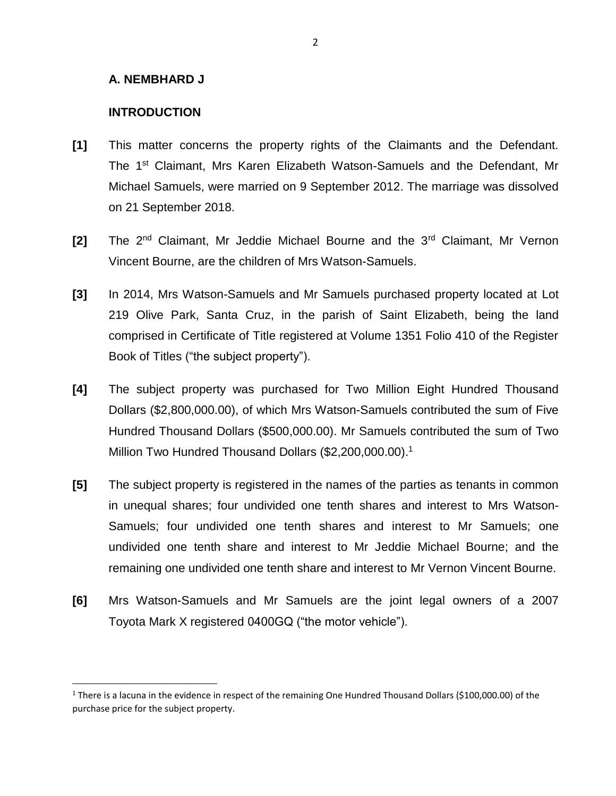#### **A. NEMBHARD J**

### **INTRODUCTION**

 $\overline{\phantom{a}}$ 

- **[1]** This matter concerns the property rights of the Claimants and the Defendant. The 1<sup>st</sup> Claimant, Mrs Karen Elizabeth Watson-Samuels and the Defendant, Mr Michael Samuels, were married on 9 September 2012. The marriage was dissolved on 21 September 2018.
- **[2]** The 2nd Claimant, Mr Jeddie Michael Bourne and the 3rd Claimant, Mr Vernon Vincent Bourne, are the children of Mrs Watson-Samuels.
- **[3]** In 2014, Mrs Watson-Samuels and Mr Samuels purchased property located at Lot 219 Olive Park, Santa Cruz, in the parish of Saint Elizabeth, being the land comprised in Certificate of Title registered at Volume 1351 Folio 410 of the Register Book of Titles ("the subject property").
- **[4]** The subject property was purchased for Two Million Eight Hundred Thousand Dollars (\$2,800,000.00), of which Mrs Watson-Samuels contributed the sum of Five Hundred Thousand Dollars (\$500,000.00). Mr Samuels contributed the sum of Two Million Two Hundred Thousand Dollars (\$2,200,000.00).<sup>1</sup>
- **[5]** The subject property is registered in the names of the parties as tenants in common in unequal shares; four undivided one tenth shares and interest to Mrs Watson-Samuels; four undivided one tenth shares and interest to Mr Samuels; one undivided one tenth share and interest to Mr Jeddie Michael Bourne; and the remaining one undivided one tenth share and interest to Mr Vernon Vincent Bourne.
- **[6]** Mrs Watson-Samuels and Mr Samuels are the joint legal owners of a 2007 Toyota Mark X registered 0400GQ ("the motor vehicle").

<sup>&</sup>lt;sup>1</sup> There is a lacuna in the evidence in respect of the remaining One Hundred Thousand Dollars (\$100,000.00) of the purchase price for the subject property.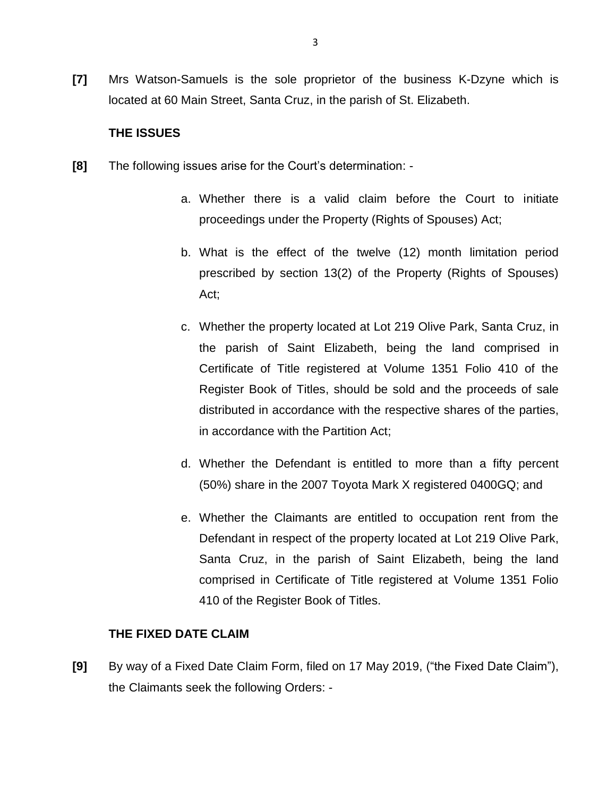**[7]** Mrs Watson-Samuels is the sole proprietor of the business K-Dzyne which is located at 60 Main Street, Santa Cruz, in the parish of St. Elizabeth.

#### **THE ISSUES**

- **[8]** The following issues arise for the Court's determination:
	- a. Whether there is a valid claim before the Court to initiate proceedings under the Property (Rights of Spouses) Act;
	- b. What is the effect of the twelve (12) month limitation period prescribed by section 13(2) of the Property (Rights of Spouses) Act;
	- c. Whether the property located at Lot 219 Olive Park, Santa Cruz, in the parish of Saint Elizabeth, being the land comprised in Certificate of Title registered at Volume 1351 Folio 410 of the Register Book of Titles, should be sold and the proceeds of sale distributed in accordance with the respective shares of the parties, in accordance with the Partition Act;
	- d. Whether the Defendant is entitled to more than a fifty percent (50%) share in the 2007 Toyota Mark X registered 0400GQ; and
	- e. Whether the Claimants are entitled to occupation rent from the Defendant in respect of the property located at Lot 219 Olive Park, Santa Cruz, in the parish of Saint Elizabeth, being the land comprised in Certificate of Title registered at Volume 1351 Folio 410 of the Register Book of Titles.

#### **THE FIXED DATE CLAIM**

**[9]** By way of a Fixed Date Claim Form, filed on 17 May 2019, ("the Fixed Date Claim"), the Claimants seek the following Orders: -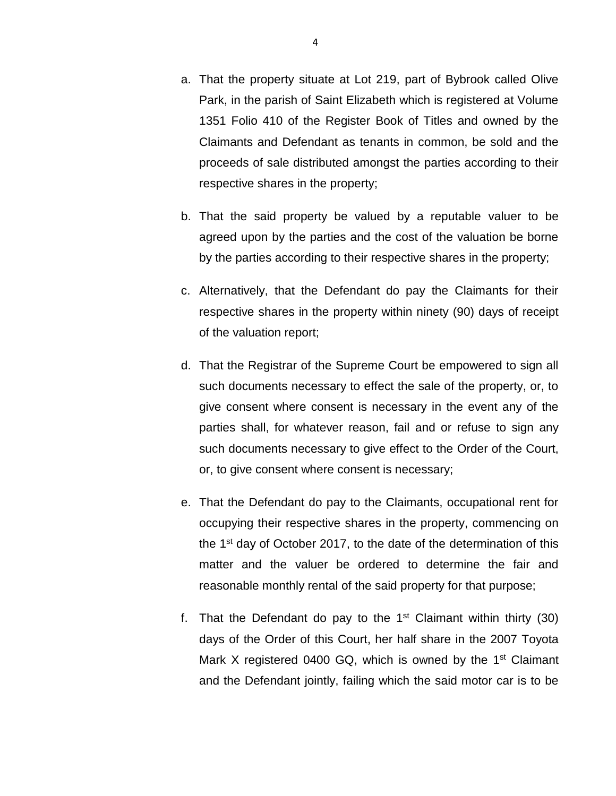- a. That the property situate at Lot 219, part of Bybrook called Olive Park, in the parish of Saint Elizabeth which is registered at Volume 1351 Folio 410 of the Register Book of Titles and owned by the Claimants and Defendant as tenants in common, be sold and the proceeds of sale distributed amongst the parties according to their respective shares in the property;
- b. That the said property be valued by a reputable valuer to be agreed upon by the parties and the cost of the valuation be borne by the parties according to their respective shares in the property;
- c. Alternatively, that the Defendant do pay the Claimants for their respective shares in the property within ninety (90) days of receipt of the valuation report;
- d. That the Registrar of the Supreme Court be empowered to sign all such documents necessary to effect the sale of the property, or, to give consent where consent is necessary in the event any of the parties shall, for whatever reason, fail and or refuse to sign any such documents necessary to give effect to the Order of the Court, or, to give consent where consent is necessary;
- e. That the Defendant do pay to the Claimants, occupational rent for occupying their respective shares in the property, commencing on the  $1<sup>st</sup>$  day of October 2017, to the date of the determination of this matter and the valuer be ordered to determine the fair and reasonable monthly rental of the said property for that purpose;
- f. That the Defendant do pay to the  $1<sup>st</sup>$  Claimant within thirty (30) days of the Order of this Court, her half share in the 2007 Toyota Mark X registered 0400 GQ, which is owned by the  $1<sup>st</sup>$  Claimant and the Defendant jointly, failing which the said motor car is to be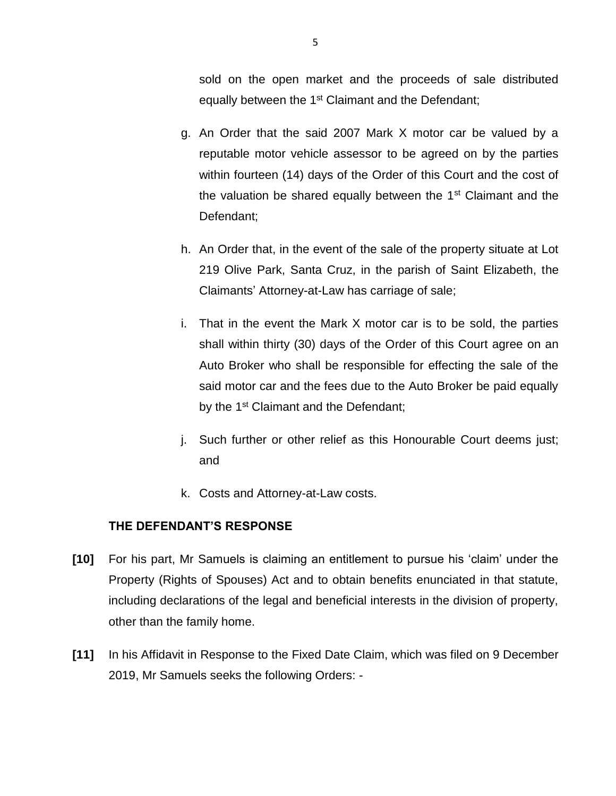sold on the open market and the proceeds of sale distributed equally between the 1<sup>st</sup> Claimant and the Defendant;

- g. An Order that the said 2007 Mark X motor car be valued by a reputable motor vehicle assessor to be agreed on by the parties within fourteen (14) days of the Order of this Court and the cost of the valuation be shared equally between the  $1<sup>st</sup>$  Claimant and the Defendant;
- h. An Order that, in the event of the sale of the property situate at Lot 219 Olive Park, Santa Cruz, in the parish of Saint Elizabeth, the Claimants' Attorney-at-Law has carriage of sale;
- i. That in the event the Mark X motor car is to be sold, the parties shall within thirty (30) days of the Order of this Court agree on an Auto Broker who shall be responsible for effecting the sale of the said motor car and the fees due to the Auto Broker be paid equally by the 1<sup>st</sup> Claimant and the Defendant;
- j. Such further or other relief as this Honourable Court deems just; and
- k. Costs and Attorney-at-Law costs.

## **THE DEFENDANT'S RESPONSE**

- **[10]** For his part, Mr Samuels is claiming an entitlement to pursue his 'claim' under the Property (Rights of Spouses) Act and to obtain benefits enunciated in that statute, including declarations of the legal and beneficial interests in the division of property, other than the family home.
- **[11]** In his Affidavit in Response to the Fixed Date Claim, which was filed on 9 December 2019, Mr Samuels seeks the following Orders: -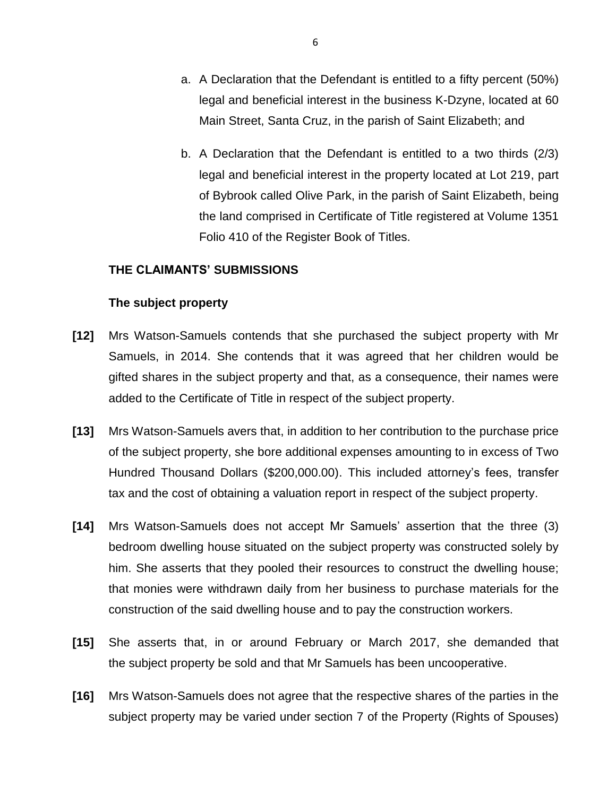- a. A Declaration that the Defendant is entitled to a fifty percent (50%) legal and beneficial interest in the business K-Dzyne, located at 60 Main Street, Santa Cruz, in the parish of Saint Elizabeth; and
- b. A Declaration that the Defendant is entitled to a two thirds (2/3) legal and beneficial interest in the property located at Lot 219, part of Bybrook called Olive Park, in the parish of Saint Elizabeth, being the land comprised in Certificate of Title registered at Volume 1351 Folio 410 of the Register Book of Titles.

#### **THE CLAIMANTS' SUBMISSIONS**

#### **The subject property**

- **[12]** Mrs Watson-Samuels contends that she purchased the subject property with Mr Samuels, in 2014. She contends that it was agreed that her children would be gifted shares in the subject property and that, as a consequence, their names were added to the Certificate of Title in respect of the subject property.
- **[13]** Mrs Watson-Samuels avers that, in addition to her contribution to the purchase price of the subject property, she bore additional expenses amounting to in excess of Two Hundred Thousand Dollars (\$200,000.00). This included attorney's fees, transfer tax and the cost of obtaining a valuation report in respect of the subject property.
- **[14]** Mrs Watson-Samuels does not accept Mr Samuels' assertion that the three (3) bedroom dwelling house situated on the subject property was constructed solely by him. She asserts that they pooled their resources to construct the dwelling house; that monies were withdrawn daily from her business to purchase materials for the construction of the said dwelling house and to pay the construction workers.
- **[15]** She asserts that, in or around February or March 2017, she demanded that the subject property be sold and that Mr Samuels has been uncooperative.
- **[16]** Mrs Watson-Samuels does not agree that the respective shares of the parties in the subject property may be varied under section 7 of the Property (Rights of Spouses)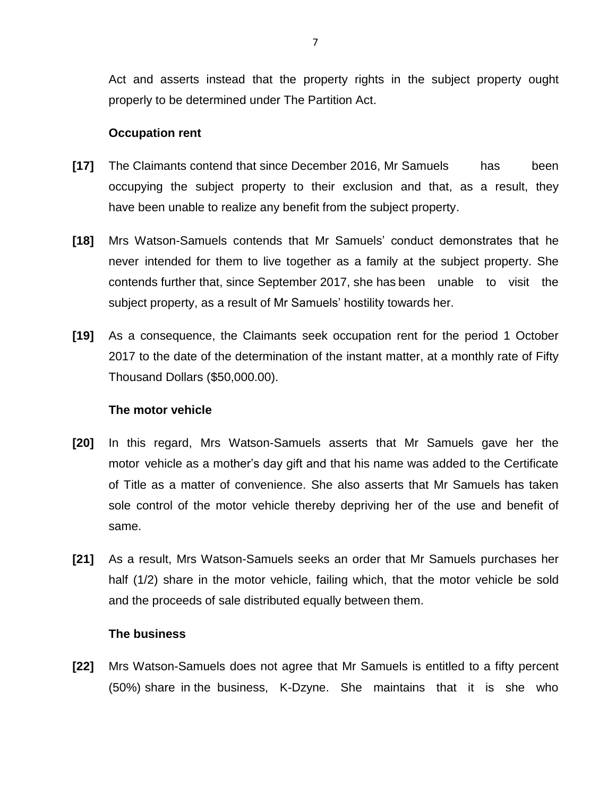Act and asserts instead that the property rights in the subject property ought properly to be determined under The Partition Act.

#### **Occupation rent**

- **[17]** The Claimants contend that since December 2016, Mr Samuels has been occupying the subject property to their exclusion and that, as a result, they have been unable to realize any benefit from the subject property.
- **[18]** Mrs Watson-Samuels contends that Mr Samuels' conduct demonstrates that he never intended for them to live together as a family at the subject property. She contends further that, since September 2017, she has been unable to visit the subject property, as a result of Mr Samuels' hostility towards her.
- **[19]** As a consequence, the Claimants seek occupation rent for the period 1 October 2017 to the date of the determination of the instant matter, at a monthly rate of Fifty Thousand Dollars (\$50,000.00).

#### **The motor vehicle**

- **[20]** In this regard, Mrs Watson-Samuels asserts that Mr Samuels gave her the motor vehicle as a mother's day gift and that his name was added to the Certificate of Title as a matter of convenience. She also asserts that Mr Samuels has taken sole control of the motor vehicle thereby depriving her of the use and benefit of same.
- **[21]** As a result, Mrs Watson-Samuels seeks an order that Mr Samuels purchases her half (1/2) share in the motor vehicle, failing which, that the motor vehicle be sold and the proceeds of sale distributed equally between them.

#### **The business**

**[22]** Mrs Watson-Samuels does not agree that Mr Samuels is entitled to a fifty percent (50%) share in the business, K-Dzyne. She maintains that it is she who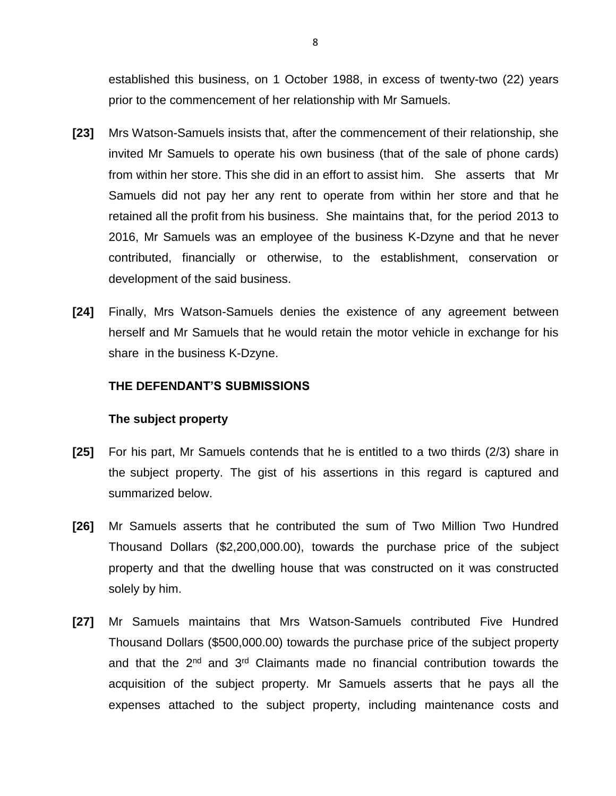established this business, on 1 October 1988, in excess of twenty-two (22) years prior to the commencement of her relationship with Mr Samuels.

- **[23]** Mrs Watson-Samuels insists that, after the commencement of their relationship, she invited Mr Samuels to operate his own business (that of the sale of phone cards) from within her store. This she did in an effort to assist him. She asserts that Mr Samuels did not pay her any rent to operate from within her store and that he retained all the profit from his business. She maintains that, for the period 2013 to 2016, Mr Samuels was an employee of the business K-Dzyne and that he never contributed, financially or otherwise, to the establishment, conservation or development of the said business.
- **[24]** Finally, Mrs Watson-Samuels denies the existence of any agreement between herself and Mr Samuels that he would retain the motor vehicle in exchange for his share in the business K-Dzyne.

#### **THE DEFENDANT'S SUBMISSIONS**

#### **The subject property**

- **[25]** For his part, Mr Samuels contends that he is entitled to a two thirds (2/3) share in the subject property. The gist of his assertions in this regard is captured and summarized below.
- **[26]** Mr Samuels asserts that he contributed the sum of Two Million Two Hundred Thousand Dollars (\$2,200,000.00), towards the purchase price of the subject property and that the dwelling house that was constructed on it was constructed solely by him.
- **[27]** Mr Samuels maintains that Mrs Watson-Samuels contributed Five Hundred Thousand Dollars (\$500,000.00) towards the purchase price of the subject property and that the 2<sup>nd</sup> and 3<sup>rd</sup> Claimants made no financial contribution towards the acquisition of the subject property. Mr Samuels asserts that he pays all the expenses attached to the subject property, including maintenance costs and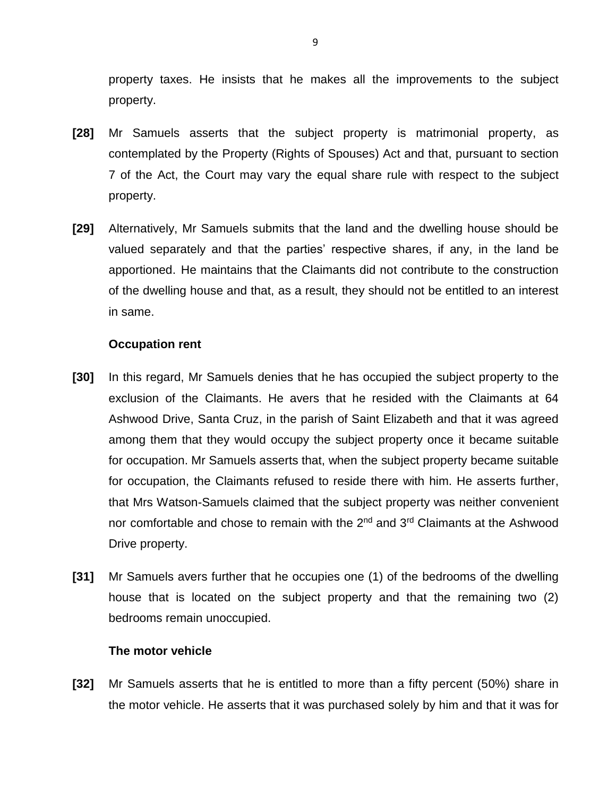property taxes. He insists that he makes all the improvements to the subject property.

- **[28]** Mr Samuels asserts that the subject property is matrimonial property, as contemplated by the Property (Rights of Spouses) Act and that, pursuant to section 7 of the Act, the Court may vary the equal share rule with respect to the subject property.
- **[29]** Alternatively, Mr Samuels submits that the land and the dwelling house should be valued separately and that the parties' respective shares, if any, in the land be apportioned. He maintains that the Claimants did not contribute to the construction of the dwelling house and that, as a result, they should not be entitled to an interest in same.

#### **Occupation rent**

- **[30]** In this regard, Mr Samuels denies that he has occupied the subject property to the exclusion of the Claimants. He avers that he resided with the Claimants at 64 Ashwood Drive, Santa Cruz, in the parish of Saint Elizabeth and that it was agreed among them that they would occupy the subject property once it became suitable for occupation. Mr Samuels asserts that, when the subject property became suitable for occupation, the Claimants refused to reside there with him. He asserts further, that Mrs Watson-Samuels claimed that the subject property was neither convenient nor comfortable and chose to remain with the  $2<sup>nd</sup>$  and  $3<sup>rd</sup>$  Claimants at the Ashwood Drive property.
- **[31]** Mr Samuels avers further that he occupies one (1) of the bedrooms of the dwelling house that is located on the subject property and that the remaining two (2) bedrooms remain unoccupied.

#### **The motor vehicle**

**[32]** Mr Samuels asserts that he is entitled to more than a fifty percent (50%) share in the motor vehicle. He asserts that it was purchased solely by him and that it was for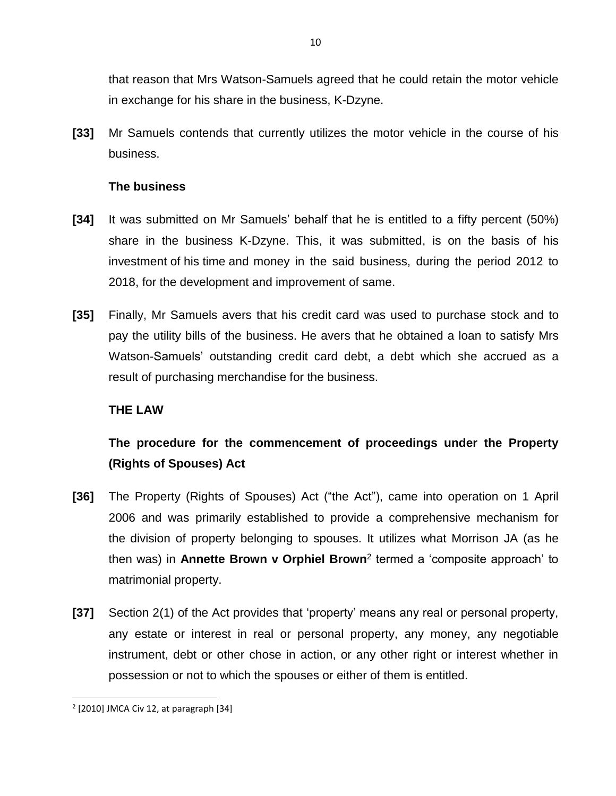that reason that Mrs Watson-Samuels agreed that he could retain the motor vehicle in exchange for his share in the business, K-Dzyne.

**[33]** Mr Samuels contends that currently utilizes the motor vehicle in the course of his business.

### **The business**

- **[34]** It was submitted on Mr Samuels' behalf that he is entitled to a fifty percent (50%) share in the business K-Dzyne. This, it was submitted, is on the basis of his investment of his time and money in the said business, during the period 2012 to 2018, for the development and improvement of same.
- **[35]** Finally, Mr Samuels avers that his credit card was used to purchase stock and to pay the utility bills of the business. He avers that he obtained a loan to satisfy Mrs Watson-Samuels' outstanding credit card debt, a debt which she accrued as a result of purchasing merchandise for the business.

## **THE LAW**

# **The procedure for the commencement of proceedings under the Property (Rights of Spouses) Act**

- **[36]** The Property (Rights of Spouses) Act ("the Act"), came into operation on 1 April 2006 and was primarily established to provide a comprehensive mechanism for the division of property belonging to spouses. It utilizes what Morrison JA (as he then was) in **Annette Brown v Orphiel Brown**<sup>2</sup> termed a 'composite approach' to matrimonial property.
- **[37]** Section 2(1) of the Act provides that 'property' means any real or personal property, any estate or interest in real or personal property, any money, any negotiable instrument, debt or other chose in action, or any other right or interest whether in possession or not to which the spouses or either of them is entitled.

 $2$  [2010] JMCA Civ 12, at paragraph [34]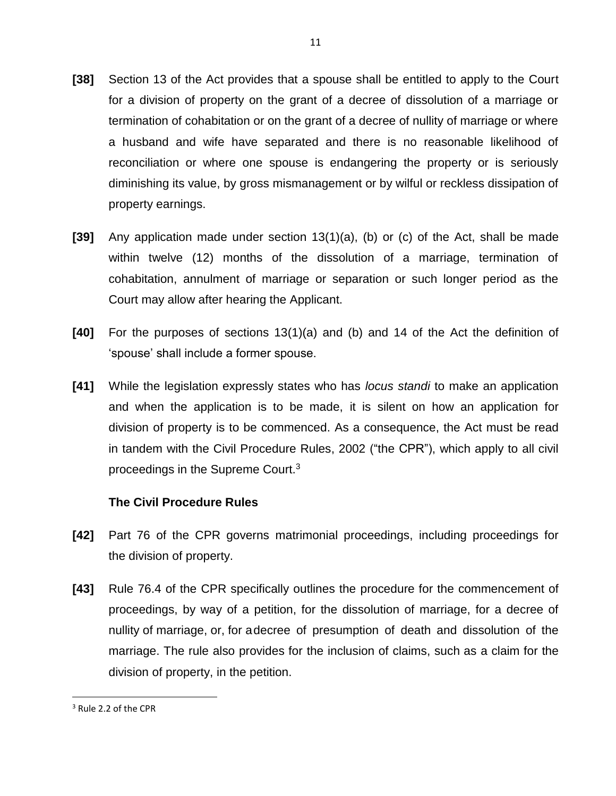- **[38]** Section 13 of the Act provides that a spouse shall be entitled to apply to the Court for a division of property on the grant of a decree of dissolution of a marriage or termination of cohabitation or on the grant of a decree of nullity of marriage or where a husband and wife have separated and there is no reasonable likelihood of reconciliation or where one spouse is endangering the property or is seriously diminishing its value, by gross mismanagement or by wilful or reckless dissipation of property earnings.
- **[39]** Any application made under section 13(1)(a), (b) or (c) of the Act, shall be made within twelve (12) months of the dissolution of a marriage, termination of cohabitation, annulment of marriage or separation or such longer period as the Court may allow after hearing the Applicant.
- **[40]** For the purposes of sections 13(1)(a) and (b) and 14 of the Act the definition of 'spouse' shall include a former spouse.
- **[41]** While the legislation expressly states who has *locus standi* to make an application and when the application is to be made, it is silent on how an application for division of property is to be commenced. As a consequence, the Act must be read in tandem with the Civil Procedure Rules, 2002 ("the CPR"), which apply to all civil proceedings in the Supreme Court.<sup>3</sup>

### **The Civil Procedure Rules**

- **[42]** Part 76 of the CPR governs matrimonial proceedings, including proceedings for the division of property.
- **[43]** Rule 76.4 of the CPR specifically outlines the procedure for the commencement of proceedings, by way of a petition, for the dissolution of marriage, for a decree of nullity of marriage, or, for adecree of presumption of death and dissolution of the marriage. The rule also provides for the inclusion of claims, such as a claim for the division of property, in the petition.

<sup>&</sup>lt;sup>3</sup> Rule 2.2 of the CPR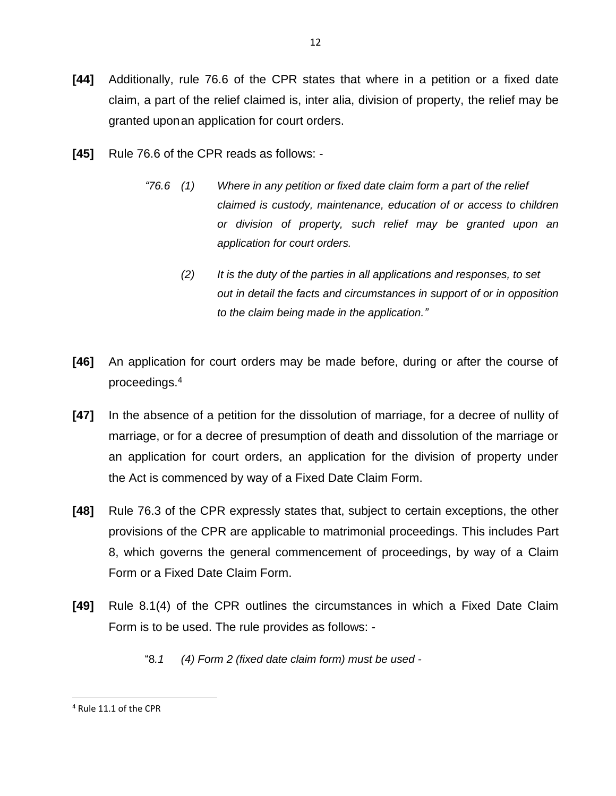**[44]** Additionally, rule 76.6 of the CPR states that where in a petition or a fixed date claim, a part of the relief claimed is, inter alia, division of property, the relief may be granted uponan application for court orders.

12

- **[45]** Rule 76.6 of the CPR reads as follows:
	- *"76.6 (1) Where in any petition or fixed date claim form a part of the relief claimed is custody, maintenance, education of or access to children or division of property, such relief may be granted upon an application for court orders.*
		- *(2) It is the duty of the parties in all applications and responses, to set out in detail the facts and circumstances in support of or in opposition to the claim being made in the application."*
- **[46]** An application for court orders may be made before, during or after the course of proceedings.<sup>4</sup>
- **[47]** In the absence of a petition for the dissolution of marriage, for a decree of nullity of marriage, or for a decree of presumption of death and dissolution of the marriage or an application for court orders, an application for the division of property under the Act is commenced by way of a Fixed Date Claim Form.
- **[48]** Rule 76.3 of the CPR expressly states that, subject to certain exceptions, the other provisions of the CPR are applicable to matrimonial proceedings. This includes Part 8, which governs the general commencement of proceedings, by way of a Claim Form or a Fixed Date Claim Form.
- **[49]** Rule 8.1(4) of the CPR outlines the circumstances in which a Fixed Date Claim Form is to be used. The rule provides as follows: -
	- "8*.1 (4) Form 2 (fixed date claim form) must be used -*

 $\overline{a}$ <sup>4</sup> Rule 11.1 of the CPR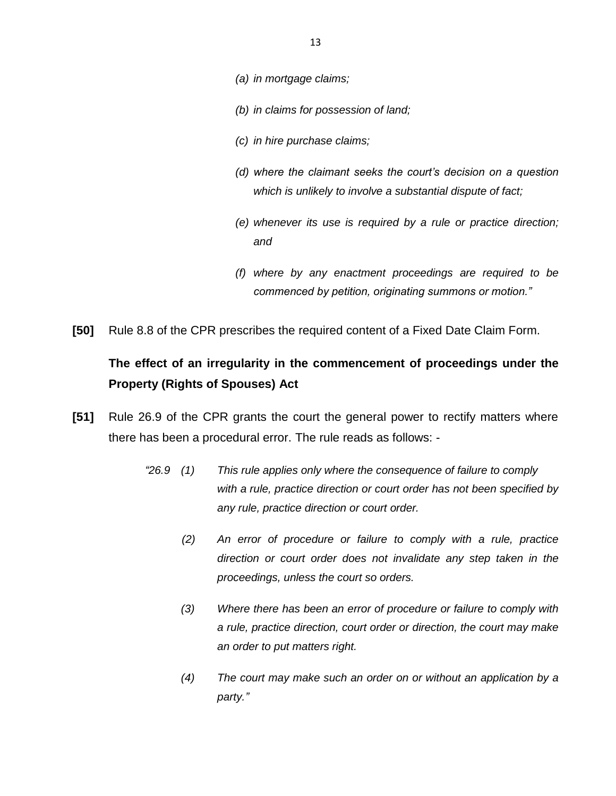- *(a) in mortgage claims;*
- *(b) in claims for possession of land;*
- *(c) in hire purchase claims;*
- *(d) where the claimant seeks the court's decision on a question which is unlikely to involve a substantial dispute of fact;*
- *(e) whenever its use is required by a rule or practice direction; and*
- *(f) where by any enactment proceedings are required to be commenced by petition, originating summons or motion."*
- **[50]** Rule 8.8 of the CPR prescribes the required content of a Fixed Date Claim Form.

# **The effect of an irregularity in the commencement of proceedings under the Property (Rights of Spouses) Act**

- **[51]** Rule 26.9 of the CPR grants the court the general power to rectify matters where there has been a procedural error. The rule reads as follows: -
	- *"26.9 (1) This rule applies only where the consequence of failure to comply with a rule, practice direction or court order has not been specified by any rule, practice direction or court order.*
		- *(2) An error of procedure or failure to comply with a rule, practice direction or court order does not invalidate any step taken in the proceedings, unless the court so orders.*
		- *(3) Where there has been an error of procedure or failure to comply with a rule, practice direction, court order or direction, the court may make an order to put matters right.*
		- *(4) The court may make such an order on or without an application by a party."*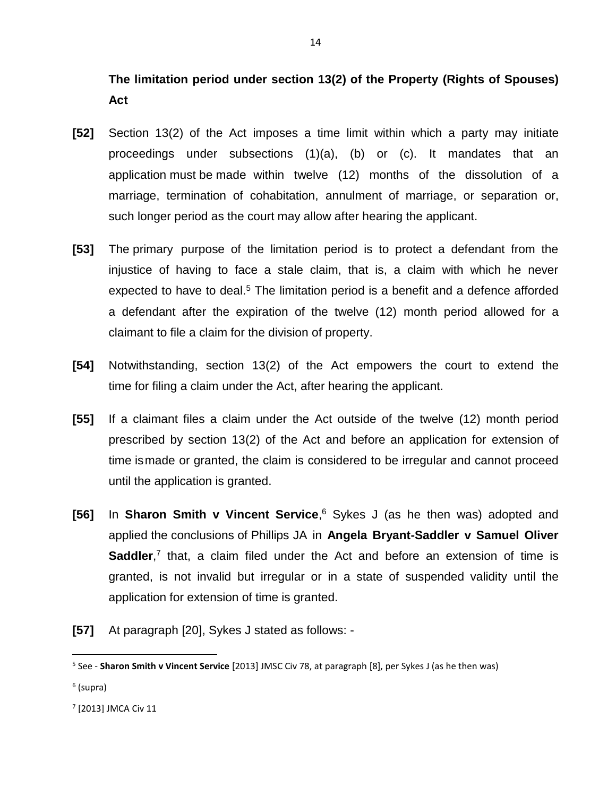**The limitation period under section 13(2) of the Property (Rights of Spouses) Act**

- **[52]** Section 13(2) of the Act imposes a time limit within which a party may initiate proceedings under subsections (1)(a), (b) or (c). It mandates that an application must be made within twelve (12) months of the dissolution of a marriage, termination of cohabitation, annulment of marriage, or separation or, such longer period as the court may allow after hearing the applicant.
- **[53]** The primary purpose of the limitation period is to protect a defendant from the injustice of having to face a stale claim, that is, a claim with which he never expected to have to deal.<sup>5</sup> The limitation period is a benefit and a defence afforded a defendant after the expiration of the twelve (12) month period allowed for a claimant to file a claim for the division of property.
- **[54]** Notwithstanding, section 13(2) of the Act empowers the court to extend the time for filing a claim under the Act, after hearing the applicant.
- **[55]** If a claimant files a claim under the Act outside of the twelve (12) month period prescribed by section 13(2) of the Act and before an application for extension of time ismade or granted, the claim is considered to be irregular and cannot proceed until the application is granted.
- **[56]** In **Sharon Smith v Vincent Service**, <sup>6</sup> Sykes J (as he then was) adopted and applied the conclusions of Phillips JA in **Angela Bryant-Saddler v Samuel Oliver**  Saddler,<sup>7</sup> that, a claim filed under the Act and before an extension of time is granted, is not invalid but irregular or in a state of suspended validity until the application for extension of time is granted.
- **[57]** At paragraph [20], Sykes J stated as follows: -

<sup>5</sup> See - **Sharon Smith v Vincent Service** [2013] JMSC Civ 78, at paragraph [8], per Sykes J (as he then was)

<sup>&</sup>lt;sup>6</sup> (supra)

<sup>7</sup> [2013] JMCA Civ 11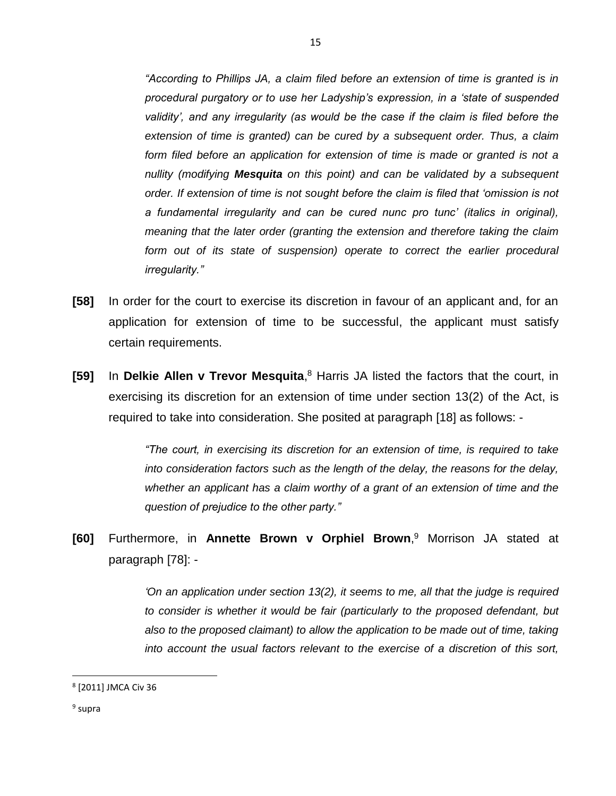*"According to Phillips JA, a claim filed before an extension of time is granted is in procedural purgatory or to use her Ladyship's expression, in a 'state of suspended validity', and any irregularity (as would be the case if the claim is filed before the extension of time is granted) can be cured by a subsequent order. Thus, a claim*  form filed before an application for extension of time is made or granted is not a *nullity (modifying Mesquita on this point) and can be validated by a subsequent order. If extension of time is not sought before the claim is filed that 'omission is not a fundamental irregularity and can be cured nunc pro tunc' (italics in original), meaning that the later order (granting the extension and therefore taking the claim*  form out of its state of suspension) operate to correct the earlier procedural *irregularity."*

- **[58]** In order for the court to exercise its discretion in favour of an applicant and, for an application for extension of time to be successful, the applicant must satisfy certain requirements.
- **[59]** In **Delkie Allen v Trevor Mesquita**, <sup>8</sup> Harris JA listed the factors that the court, in exercising its discretion for an extension of time under section 13(2) of the Act, is required to take into consideration. She posited at paragraph [18] as follows: -

*"The court, in exercising its discretion for an extension of time, is required to take into consideration factors such as the length of the delay, the reasons for the delay, whether an applicant has a claim worthy of a grant of an extension of time and the question of prejudice to the other party."*

**[60]** Furthermore, in **Annette Brown v Orphiel Brown**, <sup>9</sup> Morrison JA stated at paragraph [78]: -

> *'On an application under section 13(2), it seems to me, all that the judge is required*  to consider is whether it would be fair (particularly to the proposed defendant, but *also to the proposed claimant) to allow the application to be made out of time, taking into account the usual factors relevant to the exercise of a discretion of this sort,*

l

<sup>8</sup> [2011] JMCA Civ 36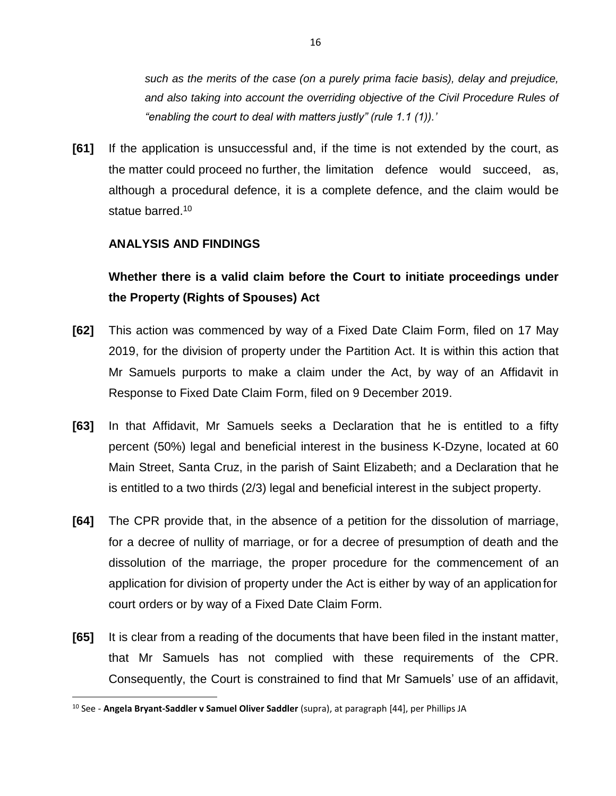*such as the merits of the case (on a purely prima facie basis), delay and prejudice, and also taking into account the overriding objective of the Civil Procedure Rules of "enabling the court to deal with matters justly" (rule 1.1 (1)).'*

**[61]** If the application is unsuccessful and, if the time is not extended by the court, as the matter could proceed no further, the limitation defence would succeed, as, although a procedural defence, it is a complete defence, and the claim would be statue barred.<sup>10</sup>

### **ANALYSIS AND FINDINGS**

# **Whether there is a valid claim before the Court to initiate proceedings under the Property (Rights of Spouses) Act**

- **[62]** This action was commenced by way of a Fixed Date Claim Form, filed on 17 May 2019, for the division of property under the Partition Act. It is within this action that Mr Samuels purports to make a claim under the Act, by way of an Affidavit in Response to Fixed Date Claim Form, filed on 9 December 2019.
- **[63]** In that Affidavit, Mr Samuels seeks a Declaration that he is entitled to a fifty percent (50%) legal and beneficial interest in the business K-Dzyne, located at 60 Main Street, Santa Cruz, in the parish of Saint Elizabeth; and a Declaration that he is entitled to a two thirds (2/3) legal and beneficial interest in the subject property.
- **[64]** The CPR provide that, in the absence of a petition for the dissolution of marriage, for a decree of nullity of marriage, or for a decree of presumption of death and the dissolution of the marriage, the proper procedure for the commencement of an application for division of property under the Act is either by way of an applicationfor court orders or by way of a Fixed Date Claim Form.
- **[65]** It is clear from a reading of the documents that have been filed in the instant matter, that Mr Samuels has not complied with these requirements of the CPR. Consequently, the Court is constrained to find that Mr Samuels' use of an affidavit,

<sup>10</sup> See - **Angela Bryant-Saddler v Samuel Oliver Saddler** (supra), at paragraph [44], per Phillips JA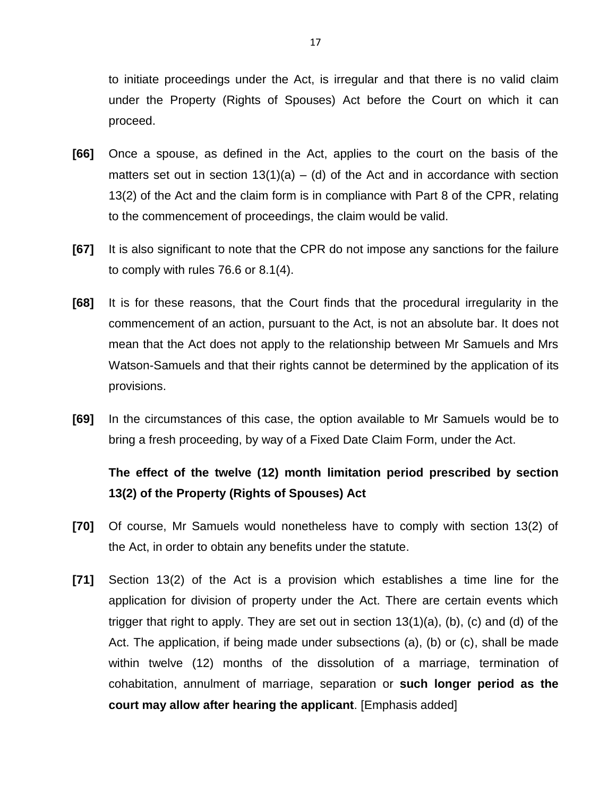to initiate proceedings under the Act, is irregular and that there is no valid claim under the Property (Rights of Spouses) Act before the Court on which it can proceed.

- **[66]** Once a spouse, as defined in the Act, applies to the court on the basis of the matters set out in section  $13(1)(a) - (d)$  of the Act and in accordance with section 13(2) of the Act and the claim form is in compliance with Part 8 of the CPR, relating to the commencement of proceedings, the claim would be valid.
- **[67]** It is also significant to note that the CPR do not impose any sanctions for the failure to comply with rules 76.6 or 8.1(4).
- **[68]** It is for these reasons, that the Court finds that the procedural irregularity in the commencement of an action, pursuant to the Act, is not an absolute bar. It does not mean that the Act does not apply to the relationship between Mr Samuels and Mrs Watson-Samuels and that their rights cannot be determined by the application of its provisions.
- **[69]** In the circumstances of this case, the option available to Mr Samuels would be to bring a fresh proceeding, by way of a Fixed Date Claim Form, under the Act.

# **The effect of the twelve (12) month limitation period prescribed by section 13(2) of the Property (Rights of Spouses) Act**

- **[70]** Of course, Mr Samuels would nonetheless have to comply with section 13(2) of the Act, in order to obtain any benefits under the statute.
- **[71]** Section 13(2) of the Act is a provision which establishes a time line for the application for division of property under the Act. There are certain events which trigger that right to apply. They are set out in section 13(1)(a), (b), (c) and (d) of the Act. The application, if being made under subsections (a), (b) or (c), shall be made within twelve (12) months of the dissolution of a marriage, termination of cohabitation, annulment of marriage, separation or **such longer period as the court may allow after hearing the applicant**. [Emphasis added]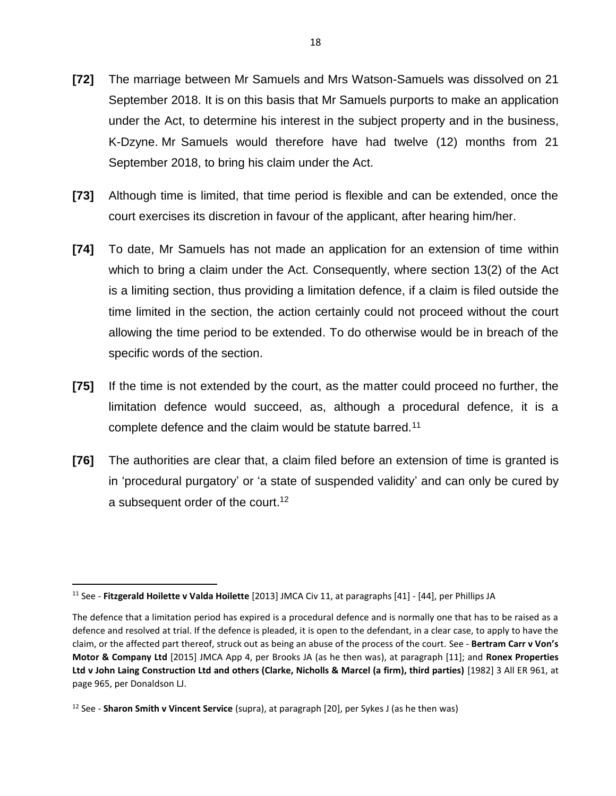- **[72]** The marriage between Mr Samuels and Mrs Watson-Samuels was dissolved on 21 September 2018. It is on this basis that Mr Samuels purports to make an application under the Act, to determine his interest in the subject property and in the business, K-Dzyne. Mr Samuels would therefore have had twelve (12) months from 21 September 2018, to bring his claim under the Act.
- **[73]** Although time is limited, that time period is flexible and can be extended, once the court exercises its discretion in favour of the applicant, after hearing him/her.
- **[74]** To date, Mr Samuels has not made an application for an extension of time within which to bring a claim under the Act. Consequently, where section 13(2) of the Act is a limiting section, thus providing a limitation defence, if a claim is filed outside the time limited in the section, the action certainly could not proceed without the court allowing the time period to be extended. To do otherwise would be in breach of the specific words of the section.
- **[75]** If the time is not extended by the court, as the matter could proceed no further, the limitation defence would succeed, as, although a procedural defence, it is a complete defence and the claim would be statute barred.<sup>11</sup>
- **[76]** The authorities are clear that, a claim filed before an extension of time is granted is in 'procedural purgatory' or 'a state of suspended validity' and can only be cured by a subsequent order of the court.<sup>12</sup>

 $\overline{\phantom{a}}$ 

<sup>11</sup> See - **Fitzgerald Hoilette v Valda Hoilette** [2013] JMCA Civ 11, at paragraphs [41] - [44], per Phillips JA

The defence that a limitation period has expired is a procedural defence and is normally one that has to be raised as a defence and resolved at trial. If the defence is pleaded, it is open to the defendant, in a clear case, to apply to have the claim, or the affected part thereof, struck out as being an abuse of the process of the court. See - **Bertram Carr v Von's Motor & Company Ltd** [2015] JMCA App 4, per Brooks JA (as he then was), at paragraph [11]; and **Ronex Properties Ltd v John Laing Construction Ltd and others (Clarke, Nicholls & Marcel (a firm), third parties)** [1982] 3 All ER 961, at page 965, per Donaldson LJ.

<sup>12</sup> See - **Sharon Smith v Vincent Service** (supra), at paragraph [20], per Sykes J (as he then was)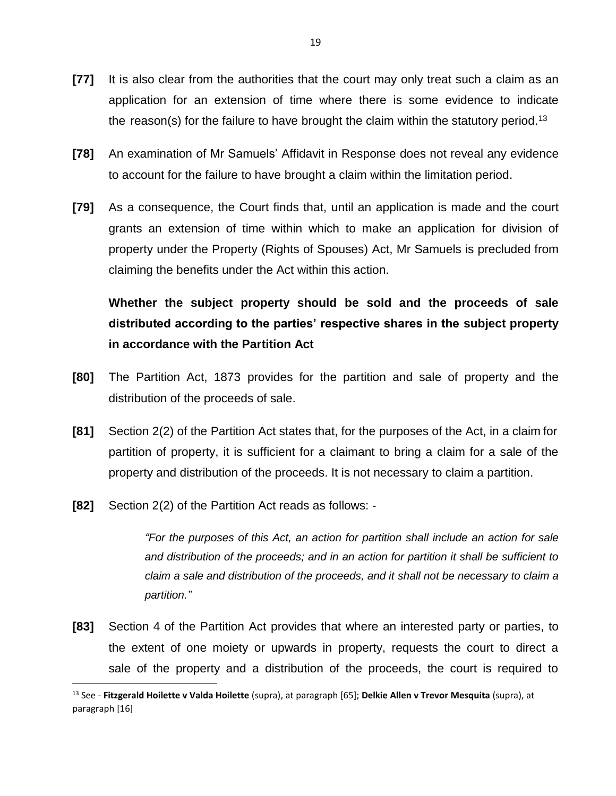- **[77]** It is also clear from the authorities that the court may only treat such a claim as an application for an extension of time where there is some evidence to indicate the reason(s) for the failure to have brought the claim within the statutory period.<sup>13</sup>
- **[78]** An examination of Mr Samuels' Affidavit in Response does not reveal any evidence to account for the failure to have brought a claim within the limitation period.
- **[79]** As a consequence, the Court finds that, until an application is made and the court grants an extension of time within which to make an application for division of property under the Property (Rights of Spouses) Act, Mr Samuels is precluded from claiming the benefits under the Act within this action.

**Whether the subject property should be sold and the proceeds of sale distributed according to the parties' respective shares in the subject property in accordance with the Partition Act**

- **[80]** The Partition Act, 1873 provides for the partition and sale of property and the distribution of the proceeds of sale.
- **[81]** Section 2(2) of the Partition Act states that, for the purposes of the Act, in a claim for partition of property, it is sufficient for a claimant to bring a claim for a sale of the property and distribution of the proceeds. It is not necessary to claim a partition.
- **[82]** Section 2(2) of the Partition Act reads as follows: -

 $\overline{\phantom{a}}$ 

*"For the purposes of this Act, an action for partition shall include an action for sale and distribution of the proceeds; and in an action for partition it shall be sufficient to claim a sale and distribution of the proceeds, and it shall not be necessary to claim a partition."*

**[83]** Section 4 of the Partition Act provides that where an interested party or parties, to the extent of one moiety or upwards in property, requests the court to direct a sale of the property and a distribution of the proceeds, the court is required to

<sup>13</sup> See - **Fitzgerald Hoilette v Valda Hoilette** (supra), at paragraph [65]; **Delkie Allen v Trevor Mesquita** (supra), at paragraph [16]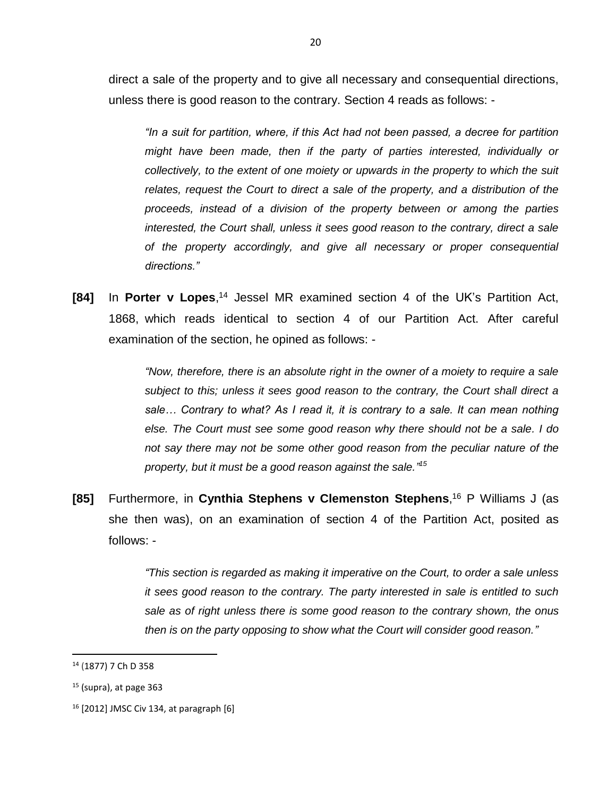direct a sale of the property and to give all necessary and consequential directions, unless there is good reason to the contrary. Section 4 reads as follows: -

*"In a suit for partition, where, if this Act had not been passed, a decree for partition might have been made, then if the party of parties interested, individually or collectively, to the extent of one moiety or upwards in the property to which the suit relates, request the Court to direct a sale of the property, and a distribution of the proceeds, instead of a division of the property between or among the parties interested, the Court shall, unless it sees good reason to the contrary, direct a sale of the property accordingly, and give all necessary or proper consequential directions."*

**[84]** In **Porter v Lopes**, <sup>14</sup> Jessel MR examined section 4 of the UK's Partition Act, 1868, which reads identical to section 4 of our Partition Act. After careful examination of the section, he opined as follows: -

> *"Now, therefore, there is an absolute right in the owner of a moiety to require a sale subject to this; unless it sees good reason to the contrary, the Court shall direct a*  sale... Contrary to what? As I read it, it is contrary to a sale. It can mean nothing *else. The Court must see some good reason why there should not be a sale. I do not say there may not be some other good reason from the peculiar nature of the property, but it must be a good reason against the sale." 15*

**[85]** Furthermore, in **Cynthia Stephens v Clemenston Stephens**, <sup>16</sup> P Williams J (as she then was), on an examination of section 4 of the Partition Act, posited as follows: -

> *"This section is regarded as making it imperative on the Court, to order a sale unless it sees good reason to the contrary. The party interested in sale is entitled to such sale as of right unless there is some good reason to the contrary shown, the onus then is on the party opposing to show what the Court will consider good reason."*

<sup>14</sup> (1877) 7 Ch D 358

 $<sup>15</sup>$  (supra), at page 363</sup>

 $16$  [2012] JMSC Civ 134, at paragraph  $[6]$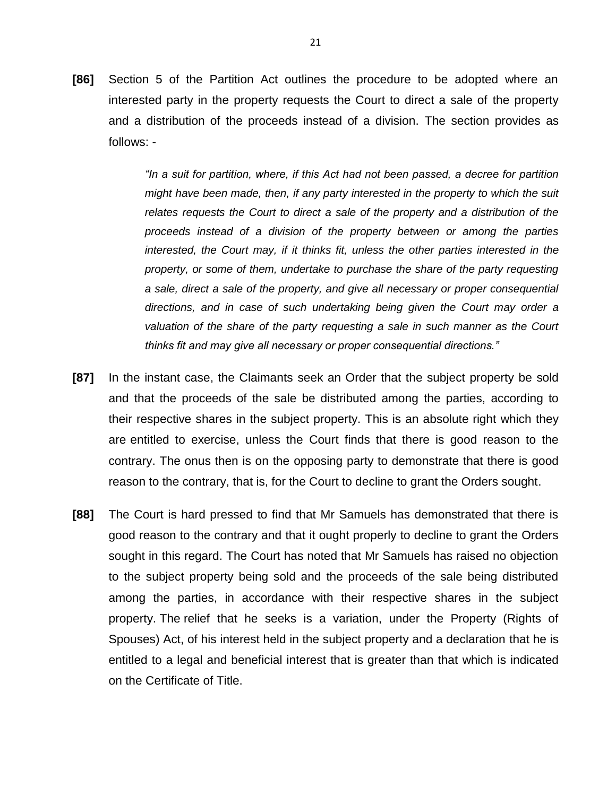**[86]** Section 5 of the Partition Act outlines the procedure to be adopted where an interested party in the property requests the Court to direct a sale of the property and a distribution of the proceeds instead of a division. The section provides as follows: -

> *"In a suit for partition, where, if this Act had not been passed, a decree for partition might have been made, then, if any party interested in the property to which the suit relates requests the Court to direct a sale of the property and a distribution of the proceeds instead of a division of the property between or among the parties interested, the Court may, if it thinks fit, unless the other parties interested in the property, or some of them, undertake to purchase the share of the party requesting a sale, direct a sale of the property, and give all necessary or proper consequential directions, and in case of such undertaking being given the Court may order a valuation of the share of the party requesting a sale in such manner as the Court thinks fit and may give all necessary or proper consequential directions."*

- **[87]** In the instant case, the Claimants seek an Order that the subject property be sold and that the proceeds of the sale be distributed among the parties, according to their respective shares in the subject property. This is an absolute right which they are entitled to exercise, unless the Court finds that there is good reason to the contrary. The onus then is on the opposing party to demonstrate that there is good reason to the contrary, that is, for the Court to decline to grant the Orders sought.
- **[88]** The Court is hard pressed to find that Mr Samuels has demonstrated that there is good reason to the contrary and that it ought properly to decline to grant the Orders sought in this regard. The Court has noted that Mr Samuels has raised no objection to the subject property being sold and the proceeds of the sale being distributed among the parties, in accordance with their respective shares in the subject property. The relief that he seeks is a variation, under the Property (Rights of Spouses) Act, of his interest held in the subject property and a declaration that he is entitled to a legal and beneficial interest that is greater than that which is indicated on the Certificate of Title.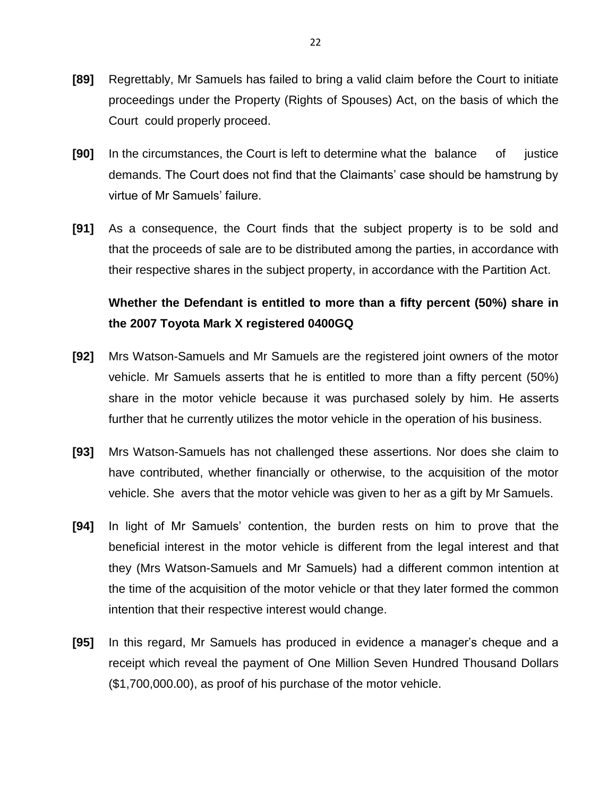- **[89]** Regrettably, Mr Samuels has failed to bring a valid claim before the Court to initiate proceedings under the Property (Rights of Spouses) Act, on the basis of which the Court could properly proceed.
- **[90]** In the circumstances, the Court is left to determine what the balance of justice demands. The Court does not find that the Claimants' case should be hamstrung by virtue of Mr Samuels' failure.
- **[91]** As a consequence, the Court finds that the subject property is to be sold and that the proceeds of sale are to be distributed among the parties, in accordance with their respective shares in the subject property, in accordance with the Partition Act.

# **Whether the Defendant is entitled to more than a fifty percent (50%) share in the 2007 Toyota Mark X registered 0400GQ**

- **[92]** Mrs Watson-Samuels and Mr Samuels are the registered joint owners of the motor vehicle. Mr Samuels asserts that he is entitled to more than a fifty percent (50%) share in the motor vehicle because it was purchased solely by him. He asserts further that he currently utilizes the motor vehicle in the operation of his business.
- **[93]** Mrs Watson-Samuels has not challenged these assertions. Nor does she claim to have contributed, whether financially or otherwise, to the acquisition of the motor vehicle. She avers that the motor vehicle was given to her as a gift by Mr Samuels.
- **[94]** In light of Mr Samuels' contention, the burden rests on him to prove that the beneficial interest in the motor vehicle is different from the legal interest and that they (Mrs Watson-Samuels and Mr Samuels) had a different common intention at the time of the acquisition of the motor vehicle or that they later formed the common intention that their respective interest would change.
- **[95]** In this regard, Mr Samuels has produced in evidence a manager's cheque and a receipt which reveal the payment of One Million Seven Hundred Thousand Dollars (\$1,700,000.00), as proof of his purchase of the motor vehicle.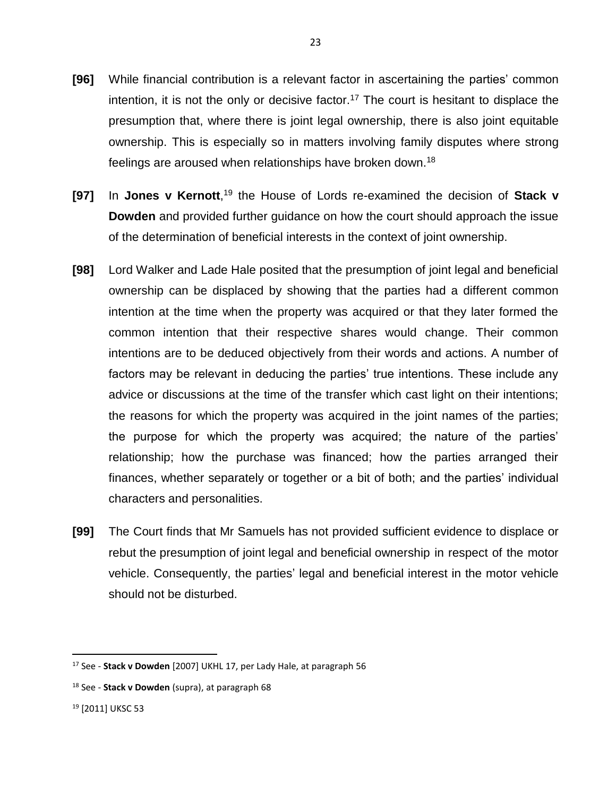- **[96]** While financial contribution is a relevant factor in ascertaining the parties' common intention, it is not the only or decisive factor.<sup>17</sup> The court is hesitant to displace the presumption that, where there is joint legal ownership, there is also joint equitable ownership. This is especially so in matters involving family disputes where strong feelings are aroused when relationships have broken down.<sup>18</sup>
- **[97]** In Jones v Kernott,<sup>19</sup> the House of Lords re-examined the decision of Stack v **Dowden** and provided further guidance on how the court should approach the issue of the determination of beneficial interests in the context of joint ownership.
- **[98]** Lord Walker and Lade Hale posited that the presumption of joint legal and beneficial ownership can be displaced by showing that the parties had a different common intention at the time when the property was acquired or that they later formed the common intention that their respective shares would change. Their common intentions are to be deduced objectively from their words and actions. A number of factors may be relevant in deducing the parties' true intentions. These include any advice or discussions at the time of the transfer which cast light on their intentions; the reasons for which the property was acquired in the joint names of the parties; the purpose for which the property was acquired; the nature of the parties' relationship; how the purchase was financed; how the parties arranged their finances, whether separately or together or a bit of both; and the parties' individual characters and personalities.
- **[99]** The Court finds that Mr Samuels has not provided sufficient evidence to displace or rebut the presumption of joint legal and beneficial ownership in respect of the motor vehicle. Consequently, the parties' legal and beneficial interest in the motor vehicle should not be disturbed.

<sup>17</sup> See - **Stack v Dowden** [2007] UKHL 17, per Lady Hale, at paragraph 56

<sup>18</sup> See - **Stack v Dowden** (supra), at paragraph 68

<sup>19</sup> [2011] UKSC 53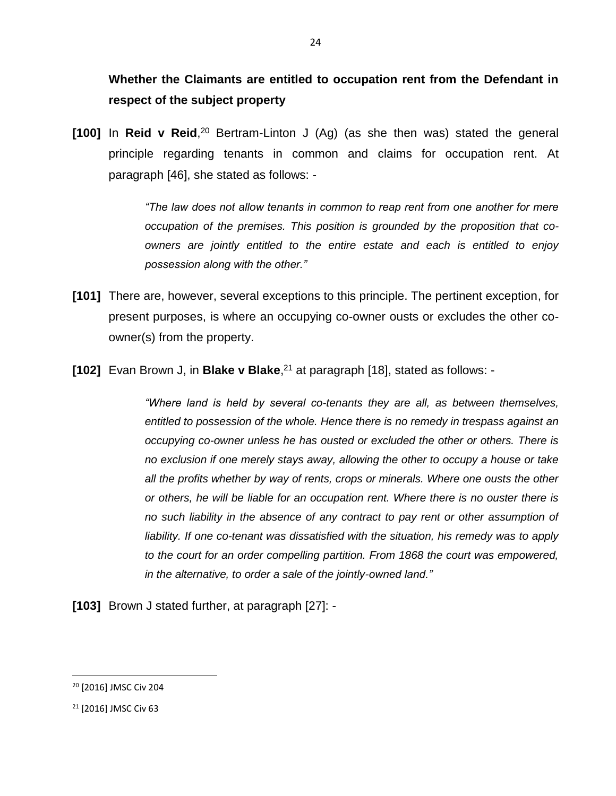**Whether the Claimants are entitled to occupation rent from the Defendant in respect of the subject property**

[100] In Reid v Reid,<sup>20</sup> Bertram-Linton J (Ag) (as she then was) stated the general principle regarding tenants in common and claims for occupation rent. At paragraph [46], she stated as follows: -

> *"The law does not allow tenants in common to reap rent from one another for mere occupation of the premises. This position is grounded by the proposition that coowners are jointly entitled to the entire estate and each is entitled to enjoy possession along with the other."*

- **[101]** There are, however, several exceptions to this principle. The pertinent exception, for present purposes, is where an occupying co-owner ousts or excludes the other coowner(s) from the property.
- **[102]** Evan Brown J, in **Blake v Blake**, <sup>21</sup> at paragraph [18], stated as follows: -

*"Where land is held by several co-tenants they are all, as between themselves, entitled to possession of the whole. Hence there is no remedy in trespass against an occupying co-owner unless he has ousted or excluded the other or others. There is no exclusion if one merely stays away, allowing the other to occupy a house or take all the profits whether by way of rents, crops or minerals. Where one ousts the other or others, he will be liable for an occupation rent. Where there is no ouster there is no such liability in the absence of any contract to pay rent or other assumption of liability. If one co-tenant was dissatisfied with the situation, his remedy was to apply to the court for an order compelling partition. From 1868 the court was empowered, in the alternative, to order a sale of the jointly-owned land."*

**[103]** Brown J stated further, at paragraph [27]: -

l

<sup>20</sup> [2016] JMSC Civ 204

<sup>21</sup> [2016] JMSC Civ 63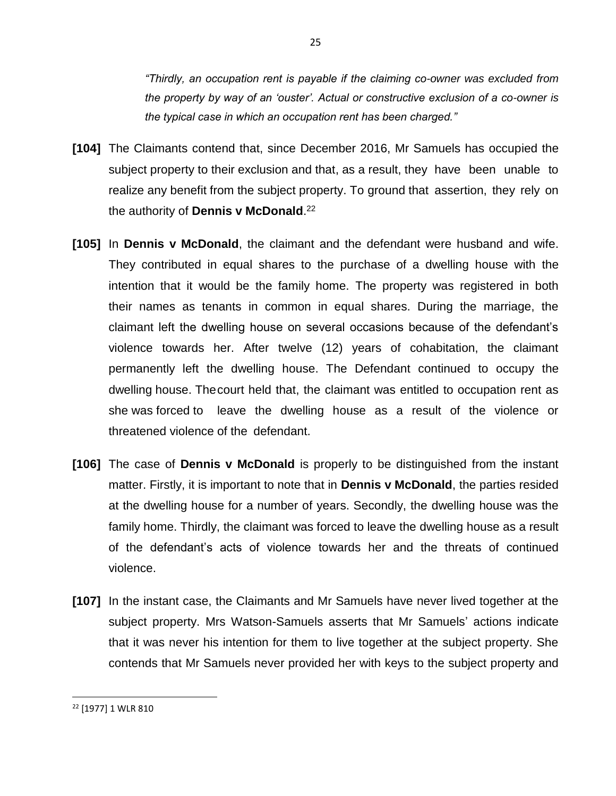*"Thirdly, an occupation rent is payable if the claiming co-owner was excluded from the property by way of an 'ouster'. Actual or constructive exclusion of a co-owner is the typical case in which an occupation rent has been charged."*

- **[104]** The Claimants contend that, since December 2016, Mr Samuels has occupied the subject property to their exclusion and that, as a result, they have been unable to realize any benefit from the subject property. To ground that assertion, they rely on the authority of **Dennis v McDonald**. 22
- **[105]** In **Dennis v McDonald**, the claimant and the defendant were husband and wife. They contributed in equal shares to the purchase of a dwelling house with the intention that it would be the family home. The property was registered in both their names as tenants in common in equal shares. During the marriage, the claimant left the dwelling house on several occasions because of the defendant's violence towards her. After twelve (12) years of cohabitation, the claimant permanently left the dwelling house. The Defendant continued to occupy the dwelling house. Thecourt held that, the claimant was entitled to occupation rent as she was forced to leave the dwelling house as a result of the violence or threatened violence of the defendant.
- **[106]** The case of **Dennis v McDonald** is properly to be distinguished from the instant matter. Firstly, it is important to note that in **Dennis v McDonald**, the parties resided at the dwelling house for a number of years. Secondly, the dwelling house was the family home. Thirdly, the claimant was forced to leave the dwelling house as a result of the defendant's acts of violence towards her and the threats of continued violence.
- **[107]** In the instant case, the Claimants and Mr Samuels have never lived together at the subject property. Mrs Watson-Samuels asserts that Mr Samuels' actions indicate that it was never his intention for them to live together at the subject property. She contends that Mr Samuels never provided her with keys to the subject property and

<sup>22</sup> [1977] 1 WLR 810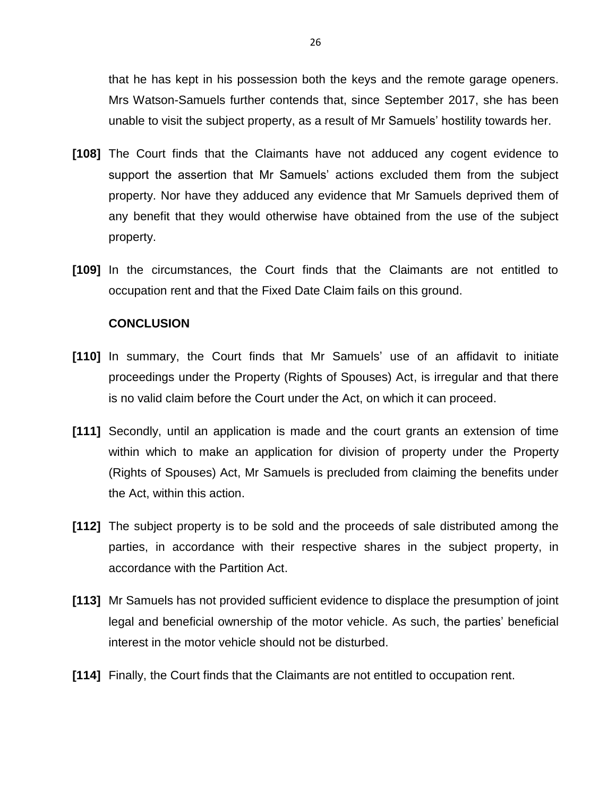that he has kept in his possession both the keys and the remote garage openers. Mrs Watson-Samuels further contends that, since September 2017, she has been unable to visit the subject property, as a result of Mr Samuels' hostility towards her.

- **[108]** The Court finds that the Claimants have not adduced any cogent evidence to support the assertion that Mr Samuels' actions excluded them from the subject property. Nor have they adduced any evidence that Mr Samuels deprived them of any benefit that they would otherwise have obtained from the use of the subject property.
- **[109]** In the circumstances, the Court finds that the Claimants are not entitled to occupation rent and that the Fixed Date Claim fails on this ground.

#### **CONCLUSION**

- **[110]** In summary, the Court finds that Mr Samuels' use of an affidavit to initiate proceedings under the Property (Rights of Spouses) Act, is irregular and that there is no valid claim before the Court under the Act, on which it can proceed.
- **[111]** Secondly, until an application is made and the court grants an extension of time within which to make an application for division of property under the Property (Rights of Spouses) Act, Mr Samuels is precluded from claiming the benefits under the Act, within this action.
- **[112]** The subject property is to be sold and the proceeds of sale distributed among the parties, in accordance with their respective shares in the subject property, in accordance with the Partition Act.
- **[113]** Mr Samuels has not provided sufficient evidence to displace the presumption of joint legal and beneficial ownership of the motor vehicle. As such, the parties' beneficial interest in the motor vehicle should not be disturbed.
- **[114]** Finally, the Court finds that the Claimants are not entitled to occupation rent.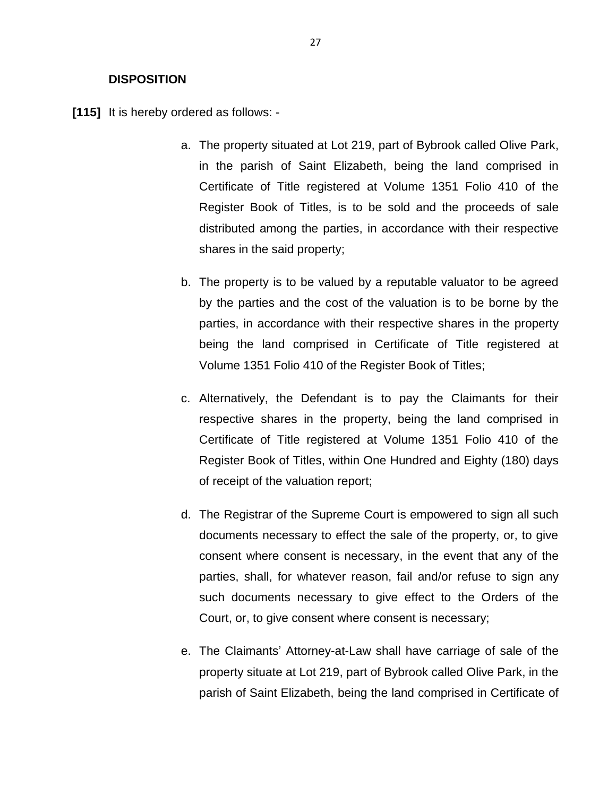#### **DISPOSITION**

**[115]** It is hereby ordered as follows: -

- a. The property situated at Lot 219, part of Bybrook called Olive Park, in the parish of Saint Elizabeth, being the land comprised in Certificate of Title registered at Volume 1351 Folio 410 of the Register Book of Titles, is to be sold and the proceeds of sale distributed among the parties, in accordance with their respective shares in the said property;
- b. The property is to be valued by a reputable valuator to be agreed by the parties and the cost of the valuation is to be borne by the parties, in accordance with their respective shares in the property being the land comprised in Certificate of Title registered at Volume 1351 Folio 410 of the Register Book of Titles;
- c. Alternatively, the Defendant is to pay the Claimants for their respective shares in the property, being the land comprised in Certificate of Title registered at Volume 1351 Folio 410 of the Register Book of Titles, within One Hundred and Eighty (180) days of receipt of the valuation report;
- d. The Registrar of the Supreme Court is empowered to sign all such documents necessary to effect the sale of the property, or, to give consent where consent is necessary, in the event that any of the parties, shall, for whatever reason, fail and/or refuse to sign any such documents necessary to give effect to the Orders of the Court, or, to give consent where consent is necessary;
- e. The Claimants' Attorney-at-Law shall have carriage of sale of the property situate at Lot 219, part of Bybrook called Olive Park, in the parish of Saint Elizabeth, being the land comprised in Certificate of